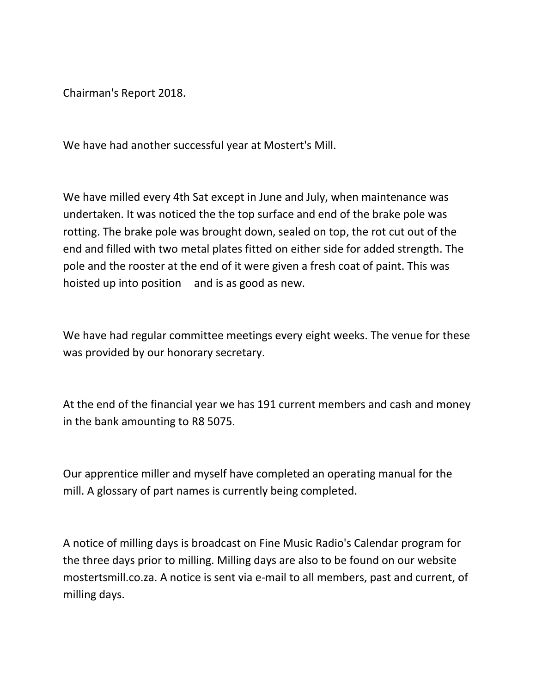Chairman's Report 2018.

We have had another successful year at Mostert's Mill.

We have milled every 4th Sat except in June and July, when maintenance was undertaken. It was noticed the the top surface and end of the brake pole was rotting. The brake pole was brought down, sealed on top, the rot cut out of the end and filled with two metal plates fitted on either side for added strength. The pole and the rooster at the end of it were given a fresh coat of paint. This was hoisted up into position and is as good as new.

We have had regular committee meetings every eight weeks. The venue for these was provided by our honorary secretary.

At the end of the financial year we has 191 current members and cash and money in the bank amounting to R8 5075.

Our apprentice miller and myself have completed an operating manual for the mill. A glossary of part names is currently being completed.

A notice of milling days is broadcast on Fine Music Radio's Calendar program for the three days prior to milling. Milling days are also to be found on our website mostertsmill.co.za. A notice is sent via e-mail to all members, past and current, of milling days.